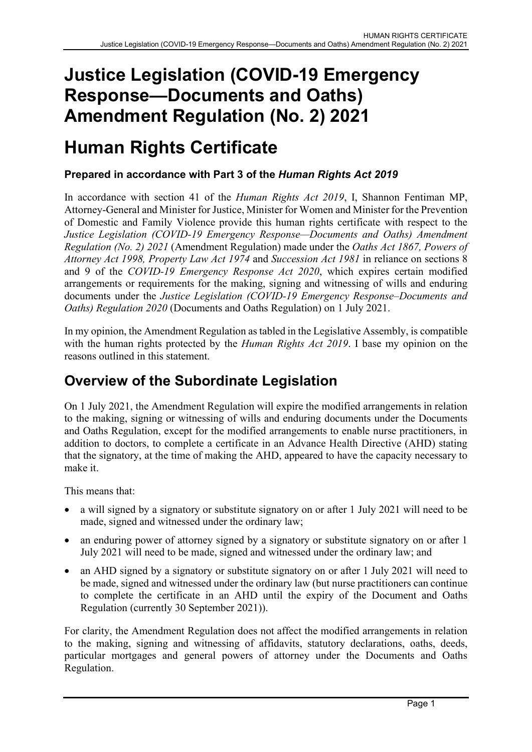## Justice Legislation (COVID-19 Emergency Response—Documents and Oaths) Amendment Regulation (No. 2) 2021

# Human Rights Certificate

### Prepared in accordance with Part 3 of the Human Rights Act 2019

In accordance with section 41 of the Human Rights Act 2019, I, Shannon Fentiman MP, Attorney-General and Minister for Justice, Minister for Women and Minister for the Prevention of Domestic and Family Violence provide this human rights certificate with respect to the Justice Legislation (COVID-19 Emergency Response—Documents and Oaths) Amendment Regulation (No. 2) 2021 (Amendment Regulation) made under the Oaths Act 1867, Powers of Attorney Act 1998, Property Law Act 1974 and Succession Act 1981 in reliance on sections 8 and 9 of the COVID-19 Emergency Response Act 2020, which expires certain modified arrangements or requirements for the making, signing and witnessing of wills and enduring documents under the Justice Legislation (COVID-19 Emergency Response–Documents and Oaths) Regulation 2020 (Documents and Oaths Regulation) on 1 July 2021.

In my opinion, the Amendment Regulation as tabled in the Legislative Assembly, is compatible with the human rights protected by the *Human Rights Act 2019*. I base my opinion on the reasons outlined in this statement.

### Overview of the Subordinate Legislation

On 1 July 2021, the Amendment Regulation will expire the modified arrangements in relation to the making, signing or witnessing of wills and enduring documents under the Documents and Oaths Regulation, except for the modified arrangements to enable nurse practitioners, in addition to doctors, to complete a certificate in an Advance Health Directive (AHD) stating that the signatory, at the time of making the AHD, appeared to have the capacity necessary to make it.

This means that:

- a will signed by a signatory or substitute signatory on or after 1 July 2021 will need to be made, signed and witnessed under the ordinary law;
- an enduring power of attorney signed by a signatory or substitute signatory on or after 1 July 2021 will need to be made, signed and witnessed under the ordinary law; and
- an AHD signed by a signatory or substitute signatory on or after 1 July 2021 will need to be made, signed and witnessed under the ordinary law (but nurse practitioners can continue to complete the certificate in an AHD until the expiry of the Document and Oaths Regulation (currently 30 September 2021)).

For clarity, the Amendment Regulation does not affect the modified arrangements in relation to the making, signing and witnessing of affidavits, statutory declarations, oaths, deeds, particular mortgages and general powers of attorney under the Documents and Oaths Regulation.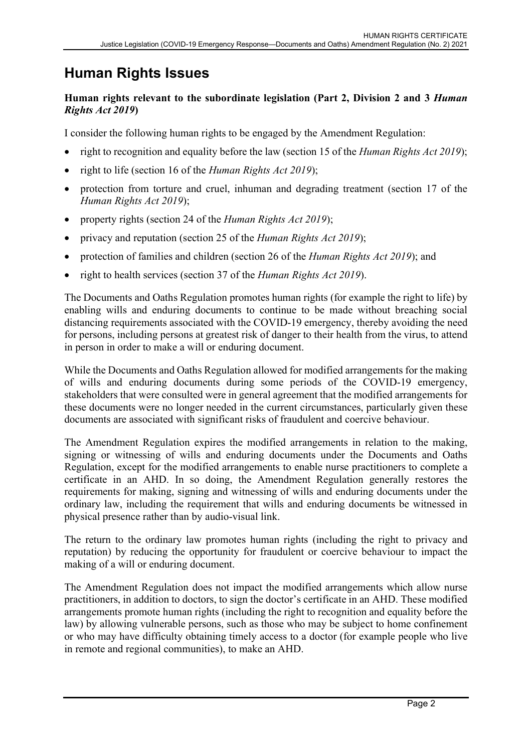## Human Rights Issues

#### Human rights relevant to the subordinate legislation (Part 2, Division 2 and 3 Human Rights Act 2019)

I consider the following human rights to be engaged by the Amendment Regulation:

- right to recognition and equality before the law (section 15 of the *Human Rights Act 2019*);
- right to life (section 16 of the Human Rights Act 2019);
- protection from torture and cruel, inhuman and degrading treatment (section 17 of the Human Rights Act 2019);
- property rights (section 24 of the Human Rights Act 2019);
- privacy and reputation (section 25 of the *Human Rights Act 2019*);
- protection of families and children (section 26 of the *Human Rights Act 2019*); and
- right to health services (section 37 of the *Human Rights Act 2019*).

The Documents and Oaths Regulation promotes human rights (for example the right to life) by enabling wills and enduring documents to continue to be made without breaching social distancing requirements associated with the COVID-19 emergency, thereby avoiding the need for persons, including persons at greatest risk of danger to their health from the virus, to attend in person in order to make a will or enduring document.

While the Documents and Oaths Regulation allowed for modified arrangements for the making of wills and enduring documents during some periods of the COVID-19 emergency, stakeholders that were consulted were in general agreement that the modified arrangements for these documents were no longer needed in the current circumstances, particularly given these documents are associated with significant risks of fraudulent and coercive behaviour.

The Amendment Regulation expires the modified arrangements in relation to the making, signing or witnessing of wills and enduring documents under the Documents and Oaths Regulation, except for the modified arrangements to enable nurse practitioners to complete a certificate in an AHD. In so doing, the Amendment Regulation generally restores the requirements for making, signing and witnessing of wills and enduring documents under the ordinary law, including the requirement that wills and enduring documents be witnessed in physical presence rather than by audio-visual link.

The return to the ordinary law promotes human rights (including the right to privacy and reputation) by reducing the opportunity for fraudulent or coercive behaviour to impact the making of a will or enduring document.

The Amendment Regulation does not impact the modified arrangements which allow nurse practitioners, in addition to doctors, to sign the doctor's certificate in an AHD. These modified arrangements promote human rights (including the right to recognition and equality before the law) by allowing vulnerable persons, such as those who may be subject to home confinement or who may have difficulty obtaining timely access to a doctor (for example people who live in remote and regional communities), to make an AHD.